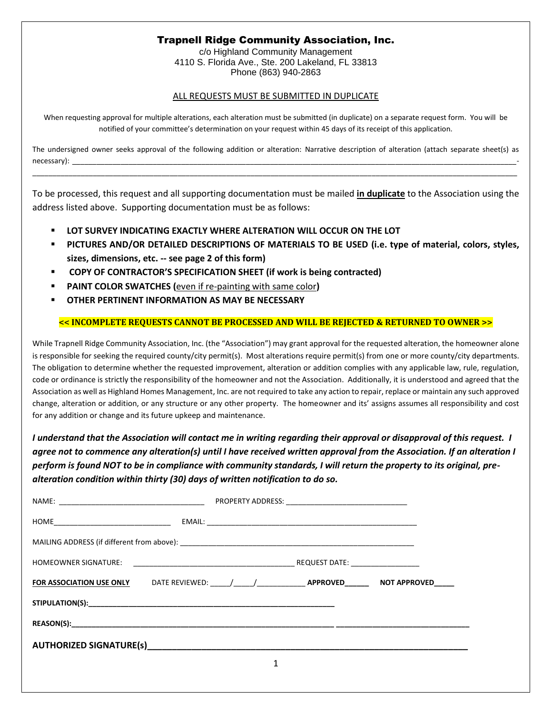## Trapnell Ridge Community Association, Inc.

c/o Highland Community Management 4110 S. Florida Ave., Ste. 200 Lakeland, FL 33813 Phone (863) 940-2863

## ALL REQUESTS MUST BE SUBMITTED IN DUPLICATE

When requesting approval for multiple alterations, each alteration must be submitted (in duplicate) on a separate request form. You will be notified of your committee's determination on your request within 45 days of its receipt of this application.

The undersigned owner seeks approval of the following addition or alteration: Narrative description of alteration (attach separate sheet(s) as necessary): \_\_\_\_\_\_\_\_\_\_\_\_\_\_\_\_\_\_\_\_\_\_\_\_\_\_\_\_\_\_\_\_\_\_\_\_\_\_\_\_\_\_\_\_\_\_\_\_\_\_\_\_\_\_\_\_\_\_\_\_\_\_\_\_\_\_\_\_\_\_\_\_\_\_\_\_\_\_\_\_\_\_\_\_\_\_\_\_\_\_\_\_\_\_\_\_\_\_\_\_\_\_\_\_\_\_\_\_\_\_-

\_\_\_\_\_\_\_\_\_\_\_\_\_\_\_\_\_\_\_\_\_\_\_\_\_\_\_\_\_\_\_\_\_\_\_\_\_\_\_\_\_\_\_\_\_\_\_\_\_\_\_\_\_\_\_\_\_\_\_\_\_\_\_\_\_\_\_\_\_\_\_\_\_\_\_\_\_\_\_\_\_\_\_\_\_\_\_\_\_\_\_\_\_\_\_\_\_\_\_\_\_\_\_\_\_\_\_\_\_\_\_\_\_\_\_\_\_\_\_\_

To be processed, this request and all supporting documentation must be mailed **in duplicate** to the Association using the address listed above. Supporting documentation must be as follows:

- **LOT SURVEY INDICATING EXACTLY WHERE ALTERATION WILL OCCUR ON THE LOT**
- **PICTURES AND/OR DETAILED DESCRIPTIONS OF MATERIALS TO BE USED (i.e. type of material, colors, styles, sizes, dimensions, etc. -- see page 2 of this form)**
- **COPY OF CONTRACTOR'S SPECIFICATION SHEET (if work is being contracted)**
- **PAINT COLOR SWATCHES** (even if re-painting with same color)
- **OTHER PERTINENT INFORMATION AS MAY BE NECESSARY**

## **<< INCOMPLETE REQUESTS CANNOT BE PROCESSED AND WILL BE REJECTED & RETURNED TO OWNER >>**

While Trapnell Ridge Community Association, Inc. (the "Association") may grant approval for the requested alteration, the homeowner alone is responsible for seeking the required county/city permit(s). Most alterations require permit(s) from one or more county/city departments. The obligation to determine whether the requested improvement, alteration or addition complies with any applicable law, rule, regulation, code or ordinance is strictly the responsibility of the homeowner and not the Association. Additionally, it is understood and agreed that the Association as well as Highland Homes Management, Inc. are not required to take any action to repair, replace or maintain any such approved change, alteration or addition, or any structure or any other property. The homeowner and its' assigns assumes all responsibility and cost for any addition or change and its future upkeep and maintenance.

*I understand that the Association will contact me in writing regarding their approval or disapproval of this request. I agree not to commence any alteration(s) until I have received written approval from the Association. If an alteration I perform is found NOT to be in compliance with community standards, I will return the property to its original, prealteration condition within thirty (30) days of written notification to do so.* 

| AUTHORIZED SIGNATURE(s) AUTHORIZED SIGNATURE(s) |  |  |  |  |  |  |  |
|-------------------------------------------------|--|--|--|--|--|--|--|
|                                                 |  |  |  |  |  |  |  |